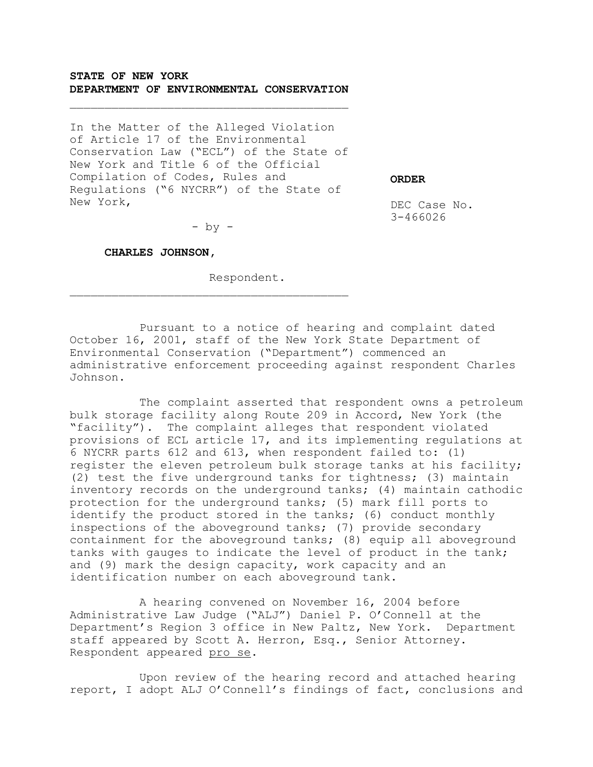# **STATE OF NEW YORK DEPARTMENT OF ENVIRONMENTAL CONSERVATION**

 $\overline{\phantom{a}}$  , and the set of the set of the set of the set of the set of the set of the set of the set of the set of the set of the set of the set of the set of the set of the set of the set of the set of the set of the s

In the Matter of the Alleged Violation of Article 17 of the Environmental Conservation Law ("ECL") of the State of New York and Title 6 of the Official Compilation of Codes, Rules and Regulations ("6 NYCRR") of the State of New York,

**ORDER**

DEC Case No. 3-466026

 $-$  by  $-$ 

 $\overline{\phantom{a}}$  , and the set of the set of the set of the set of the set of the set of the set of the set of the set of the set of the set of the set of the set of the set of the set of the set of the set of the set of the s

#### **CHARLES JOHNSON,**

Respondent.

Pursuant to a notice of hearing and complaint dated October 16, 2001, staff of the New York State Department of Environmental Conservation ("Department") commenced an administrative enforcement proceeding against respondent Charles Johnson.

The complaint asserted that respondent owns a petroleum bulk storage facility along Route 209 in Accord, New York (the "facility"). The complaint alleges that respondent violated provisions of ECL article 17, and its implementing regulations at 6 NYCRR parts 612 and 613, when respondent failed to: (1) register the eleven petroleum bulk storage tanks at his facility; (2) test the five underground tanks for tightness; (3) maintain inventory records on the underground tanks; (4) maintain cathodic protection for the underground tanks; (5) mark fill ports to identify the product stored in the tanks; (6) conduct monthly inspections of the aboveground tanks; (7) provide secondary containment for the aboveground tanks; (8) equip all aboveground tanks with gauges to indicate the level of product in the tank; and (9) mark the design capacity, work capacity and an identification number on each aboveground tank.

A hearing convened on November 16, 2004 before Administrative Law Judge ("ALJ") Daniel P. O'Connell at the Department's Region 3 office in New Paltz, New York. Department staff appeared by Scott A. Herron, Esq., Senior Attorney. Respondent appeared pro se.

Upon review of the hearing record and attached hearing report, I adopt ALJ O'Connell's findings of fact, conclusions and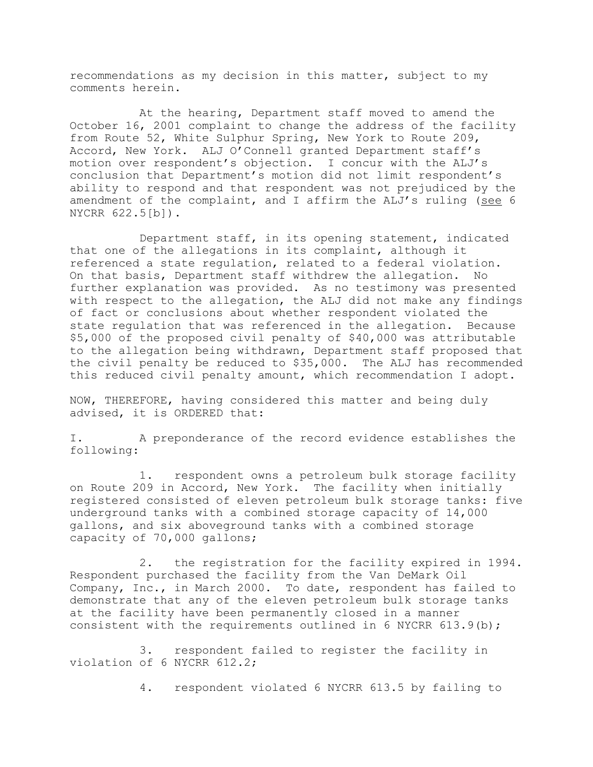recommendations as my decision in this matter, subject to my comments herein.

At the hearing, Department staff moved to amend the October 16, 2001 complaint to change the address of the facility from Route 52, White Sulphur Spring, New York to Route 209, Accord, New York. ALJ O'Connell granted Department staff's motion over respondent's objection. I concur with the ALJ's conclusion that Department's motion did not limit respondent's ability to respond and that respondent was not prejudiced by the amendment of the complaint, and I affirm the  $ALJ's$  ruling (see 6 NYCRR 622.5[b]).

Department staff, in its opening statement, indicated that one of the allegations in its complaint, although it referenced a state regulation, related to a federal violation. On that basis, Department staff withdrew the allegation. No further explanation was provided. As no testimony was presented with respect to the allegation, the ALJ did not make any findings of fact or conclusions about whether respondent violated the state regulation that was referenced in the allegation. Because \$5,000 of the proposed civil penalty of \$40,000 was attributable to the allegation being withdrawn, Department staff proposed that the civil penalty be reduced to \$35,000. The ALJ has recommended this reduced civil penalty amount, which recommendation I adopt.

NOW, THEREFORE, having considered this matter and being duly advised, it is ORDERED that:

I. A preponderance of the record evidence establishes the following:

1. respondent owns a petroleum bulk storage facility on Route 209 in Accord, New York. The facility when initially registered consisted of eleven petroleum bulk storage tanks: five underground tanks with a combined storage capacity of 14,000 gallons, and six aboveground tanks with a combined storage capacity of 70,000 gallons;

2. the registration for the facility expired in 1994. Respondent purchased the facility from the Van DeMark Oil Company, Inc., in March 2000. To date, respondent has failed to demonstrate that any of the eleven petroleum bulk storage tanks at the facility have been permanently closed in a manner consistent with the requirements outlined in 6 NYCRR  $613.9(b)$ ;

3. respondent failed to register the facility in violation of 6 NYCRR 612.2;

4. respondent violated 6 NYCRR 613.5 by failing to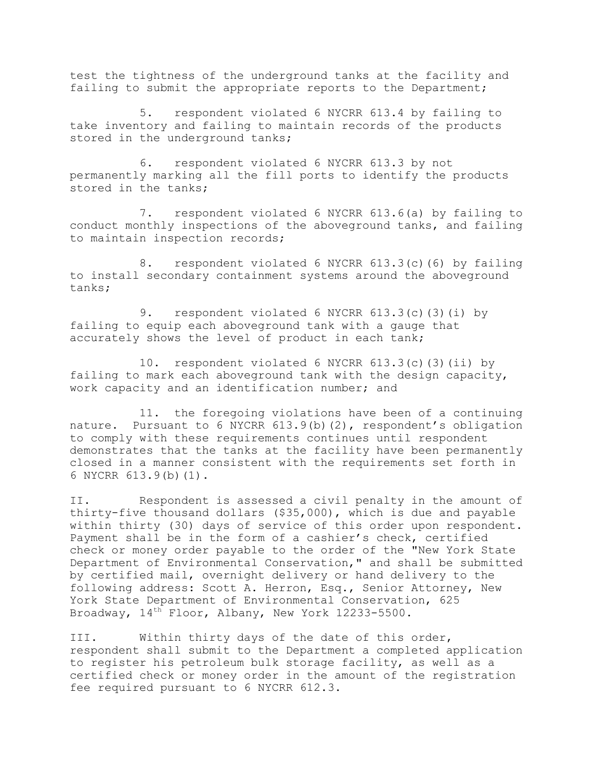test the tightness of the underground tanks at the facility and failing to submit the appropriate reports to the Department;

5. respondent violated 6 NYCRR 613.4 by failing to take inventory and failing to maintain records of the products stored in the underground tanks;

6. respondent violated 6 NYCRR 613.3 by not permanently marking all the fill ports to identify the products stored in the tanks;

7. respondent violated 6 NYCRR 613.6(a) by failing to conduct monthly inspections of the aboveground tanks, and failing to maintain inspection records;

8. respondent violated 6 NYCRR 613.3(c)(6) by failing to install secondary containment systems around the aboveground tanks;

9. respondent violated 6 NYCRR 613.3(c)(3)(i) by failing to equip each aboveground tank with a gauge that accurately shows the level of product in each tank;

10. respondent violated 6 NYCRR 613.3(c)(3)(ii) by failing to mark each aboveground tank with the design capacity, work capacity and an identification number; and

11. the foregoing violations have been of a continuing nature. Pursuant to 6 NYCRR 613.9(b)(2), respondent's obligation to comply with these requirements continues until respondent demonstrates that the tanks at the facility have been permanently closed in a manner consistent with the requirements set forth in 6 NYCRR 613.9(b)(1).

II. Respondent is assessed a civil penalty in the amount of thirty-five thousand dollars (\$35,000), which is due and payable within thirty (30) days of service of this order upon respondent. Payment shall be in the form of a cashier's check, certified check or money order payable to the order of the "New York State Department of Environmental Conservation," and shall be submitted by certified mail, overnight delivery or hand delivery to the following address: Scott A. Herron, Esq., Senior Attorney, New York State Department of Environmental Conservation, 625 Broadway, 14th Floor, Albany, New York 12233-5500.

III. Within thirty days of the date of this order, respondent shall submit to the Department a completed application to register his petroleum bulk storage facility, as well as a certified check or money order in the amount of the registration fee required pursuant to 6 NYCRR 612.3.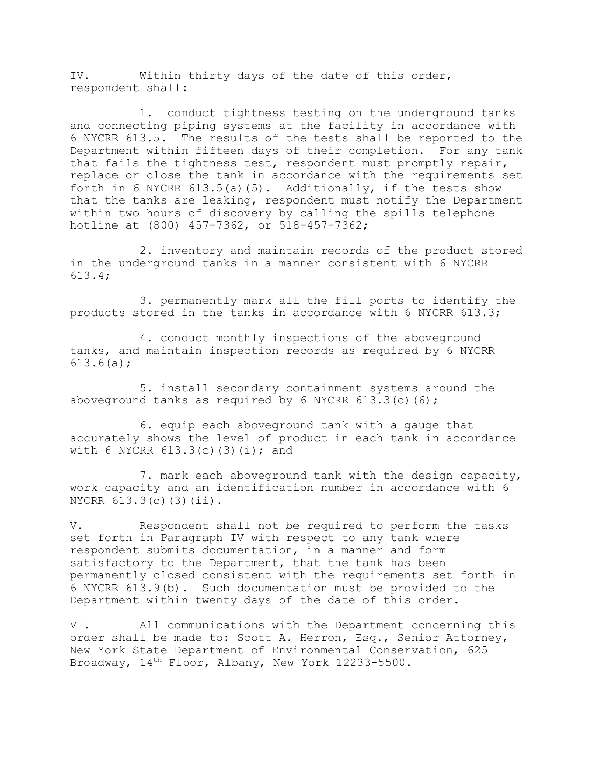IV. Within thirty days of the date of this order, respondent shall:

1. conduct tightness testing on the underground tanks and connecting piping systems at the facility in accordance with 6 NYCRR 613.5. The results of the tests shall be reported to the Department within fifteen days of their completion. For any tank that fails the tightness test, respondent must promptly repair, replace or close the tank in accordance with the requirements set forth in 6 NYCRR  $613.5(a)$  (5). Additionally, if the tests show that the tanks are leaking, respondent must notify the Department within two hours of discovery by calling the spills telephone hotline at (800) 457-7362, or 518-457-7362;

2. inventory and maintain records of the product stored in the underground tanks in a manner consistent with 6 NYCRR 613.4;

3. permanently mark all the fill ports to identify the products stored in the tanks in accordance with 6 NYCRR 613.3;

4. conduct monthly inspections of the aboveground tanks, and maintain inspection records as required by 6 NYCRR 613.6(a);

5. install secondary containment systems around the aboveground tanks as required by 6 NYCRR  $613.3(c)(6)$ ;

6. equip each aboveground tank with a gauge that accurately shows the level of product in each tank in accordance with 6 NYCRR  $613.3(c)(3)(i);$  and

7. mark each aboveground tank with the design capacity, work capacity and an identification number in accordance with 6 NYCRR 613.3(c)(3)(ii).

V. Respondent shall not be required to perform the tasks set forth in Paragraph IV with respect to any tank where respondent submits documentation, in a manner and form satisfactory to the Department, that the tank has been permanently closed consistent with the requirements set forth in 6 NYCRR 613.9(b). Such documentation must be provided to the Department within twenty days of the date of this order.

VI. All communications with the Department concerning this order shall be made to: Scott A. Herron, Esq., Senior Attorney, New York State Department of Environmental Conservation, 625 Broadway, 14th Floor, Albany, New York 12233-5500.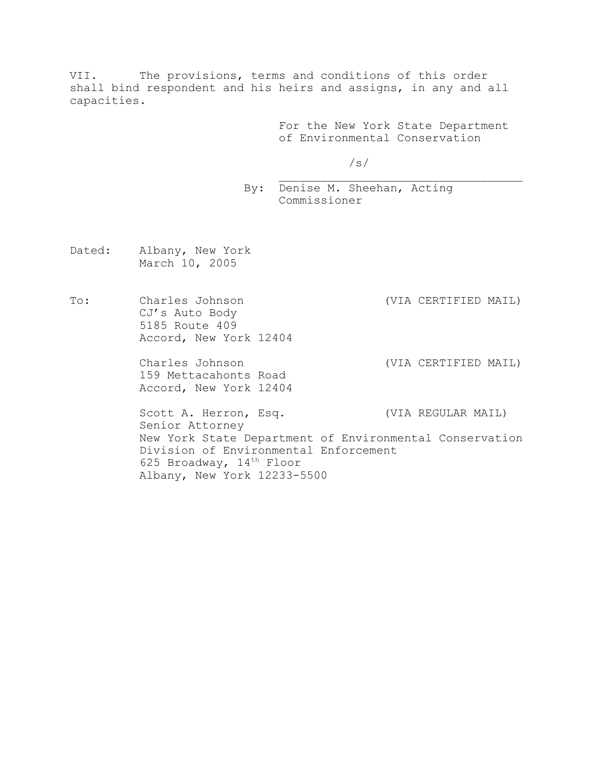VII. The provisions, terms and conditions of this order shall bind respondent and his heirs and assigns, in any and all capacities.

> For the New York State Department of Environmental Conservation

\_\_\_\_\_\_\_\_\_\_\_\_\_\_\_\_\_\_\_\_\_\_\_\_\_\_\_\_\_\_\_\_\_\_\_

/s/

By: Denise M. Sheehan, Acting Commissioner

- Dated: Albany, New York March 10, 2005
- To: Charles Johnson (VIA CERTIFIED MAIL) CJ's Auto Body 5185 Route 409 Accord, New York 12404

159 Mettacahonts Road Accord, New York 12404

Charles Johnson (VIA CERTIFIED MAIL)

Scott A. Herron, Esq. (VIA REGULAR MAIL) Senior Attorney New York State Department of Environmental Conservation Division of Environmental Enforcement 625 Broadway, 14<sup>th</sup> Floor Albany, New York 12233-5500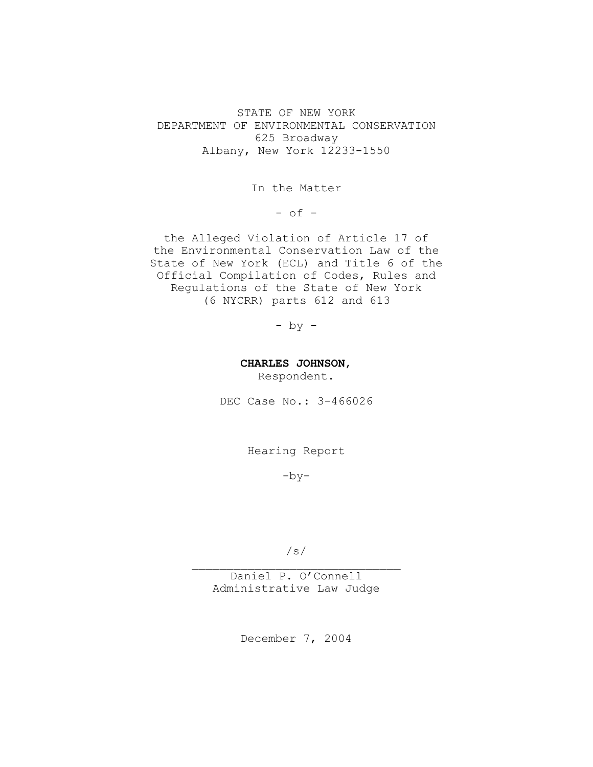STATE OF NEW YORK DEPARTMENT OF ENVIRONMENTAL CONSERVATION 625 Broadway Albany, New York 12233-1550

In the Matter

 $-$  of  $-$ 

the Alleged Violation of Article 17 of the Environmental Conservation Law of the State of New York (ECL) and Title 6 of the Official Compilation of Codes, Rules and Regulations of the State of New York (6 NYCRR) parts 612 and 613

- by -

**CHARLES JOHNSON**,

Respondent.

DEC Case No.: 3-466026

Hearing Report

 $-by-$ 

/s/  $\overline{\phantom{a}}$  , where  $\overline{\phantom{a}}$  , where  $\overline{\phantom{a}}$  ,  $\overline{\phantom{a}}$  ,  $\overline{\phantom{a}}$  ,  $\overline{\phantom{a}}$  ,  $\overline{\phantom{a}}$  ,  $\overline{\phantom{a}}$  ,  $\overline{\phantom{a}}$  ,  $\overline{\phantom{a}}$  ,  $\overline{\phantom{a}}$  ,  $\overline{\phantom{a}}$  ,  $\overline{\phantom{a}}$  ,  $\overline{\phantom{a}}$  ,  $\overline{\phantom{a}}$  ,

Daniel P. O'Connell Administrative Law Judge

December 7, 2004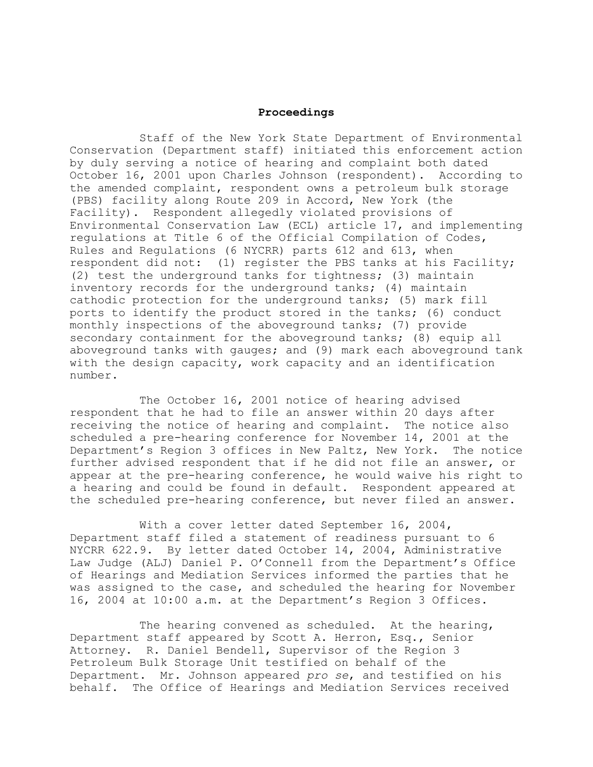## **Proceedings**

Staff of the New York State Department of Environmental Conservation (Department staff) initiated this enforcement action by duly serving a notice of hearing and complaint both dated October 16, 2001 upon Charles Johnson (respondent). According to the amended complaint, respondent owns a petroleum bulk storage (PBS) facility along Route 209 in Accord, New York (the Facility). Respondent allegedly violated provisions of Environmental Conservation Law (ECL) article 17, and implementing regulations at Title 6 of the Official Compilation of Codes, Rules and Regulations (6 NYCRR) parts 612 and 613, when respondent did not: (1) register the PBS tanks at his Facility; (2) test the underground tanks for tightness; (3) maintain inventory records for the underground tanks; (4) maintain cathodic protection for the underground tanks; (5) mark fill ports to identify the product stored in the tanks; (6) conduct monthly inspections of the aboveground tanks; (7) provide secondary containment for the aboveground tanks; (8) equip all aboveground tanks with gauges; and (9) mark each aboveground tank with the design capacity, work capacity and an identification number.

The October 16, 2001 notice of hearing advised respondent that he had to file an answer within 20 days after receiving the notice of hearing and complaint. The notice also scheduled a pre-hearing conference for November 14, 2001 at the Department's Region 3 offices in New Paltz, New York. The notice further advised respondent that if he did not file an answer, or appear at the pre-hearing conference, he would waive his right to a hearing and could be found in default. Respondent appeared at the scheduled pre-hearing conference, but never filed an answer.

With a cover letter dated September 16, 2004, Department staff filed a statement of readiness pursuant to 6 NYCRR 622.9. By letter dated October 14, 2004, Administrative Law Judge (ALJ) Daniel P. O'Connell from the Department's Office of Hearings and Mediation Services informed the parties that he was assigned to the case, and scheduled the hearing for November 16, 2004 at 10:00 a.m. at the Department's Region 3 Offices.

The hearing convened as scheduled. At the hearing, Department staff appeared by Scott A. Herron, Esq., Senior Attorney. R. Daniel Bendell, Supervisor of the Region 3 Petroleum Bulk Storage Unit testified on behalf of the Department. Mr. Johnson appeared *pro se*, and testified on his behalf. The Office of Hearings and Mediation Services received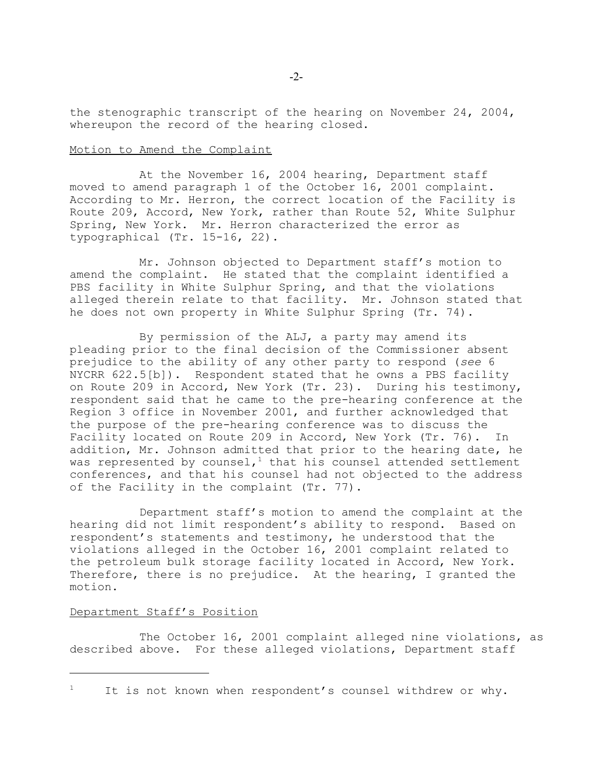the stenographic transcript of the hearing on November 24, 2004, whereupon the record of the hearing closed.

### Motion to Amend the Complaint

At the November 16, 2004 hearing, Department staff moved to amend paragraph 1 of the October 16, 2001 complaint. According to Mr. Herron, the correct location of the Facility is Route 209, Accord, New York, rather than Route 52, White Sulphur Spring, New York. Mr. Herron characterized the error as typographical (Tr. 15-16, 22).

Mr. Johnson objected to Department staff's motion to amend the complaint. He stated that the complaint identified a PBS facility in White Sulphur Spring, and that the violations alleged therein relate to that facility. Mr. Johnson stated that he does not own property in White Sulphur Spring (Tr. 74).

By permission of the ALJ, a party may amend its pleading prior to the final decision of the Commissioner absent prejudice to the ability of any other party to respond (*see* 6 NYCRR 622.5[b]). Respondent stated that he owns a PBS facility on Route 209 in Accord, New York (Tr. 23). During his testimony, respondent said that he came to the pre-hearing conference at the Region 3 office in November 2001, and further acknowledged that the purpose of the pre-hearing conference was to discuss the Facility located on Route 209 in Accord, New York (Tr. 76). In addition, Mr. Johnson admitted that prior to the hearing date, he was represented by counsel,<sup>1</sup> that his counsel attended settlement conferences, and that his counsel had not objected to the address of the Facility in the complaint (Tr. 77).

Department staff's motion to amend the complaint at the hearing did not limit respondent's ability to respond. Based on respondent's statements and testimony, he understood that the violations alleged in the October 16, 2001 complaint related to the petroleum bulk storage facility located in Accord, New York. Therefore, there is no prejudice. At the hearing, I granted the motion.

## Department Staff's Position

The October 16, 2001 complaint alleged nine violations, as described above. For these alleged violations, Department staff

It is not known when respondent's counsel withdrew or why.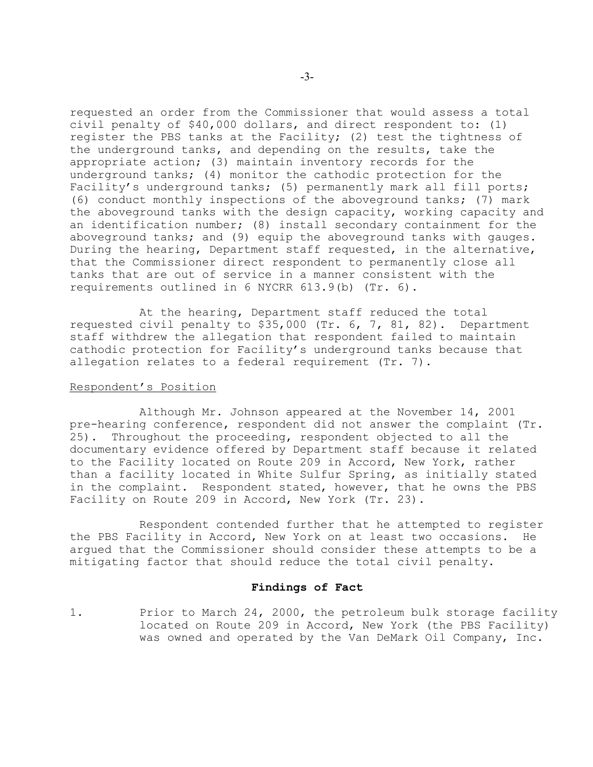requested an order from the Commissioner that would assess a total civil penalty of \$40,000 dollars, and direct respondent to: (1) register the PBS tanks at the Facility; (2) test the tightness of the underground tanks, and depending on the results, take the appropriate action; (3) maintain inventory records for the underground tanks; (4) monitor the cathodic protection for the Facility's underground tanks; (5) permanently mark all fill ports; (6) conduct monthly inspections of the aboveground tanks; (7) mark the aboveground tanks with the design capacity, working capacity and an identification number; (8) install secondary containment for the aboveground tanks; and (9) equip the aboveground tanks with gauges. During the hearing, Department staff requested, in the alternative, that the Commissioner direct respondent to permanently close all tanks that are out of service in a manner consistent with the requirements outlined in 6 NYCRR 613.9(b) (Tr. 6).

At the hearing, Department staff reduced the total requested civil penalty to \$35,000 (Tr. 6, 7, 81, 82). Department staff withdrew the allegation that respondent failed to maintain cathodic protection for Facility's underground tanks because that allegation relates to a federal requirement (Tr. 7).

### Respondent's Position

Although Mr. Johnson appeared at the November 14, 2001 pre-hearing conference, respondent did not answer the complaint (Tr. 25). Throughout the proceeding, respondent objected to all the documentary evidence offered by Department staff because it related to the Facility located on Route 209 in Accord, New York, rather than a facility located in White Sulfur Spring, as initially stated in the complaint. Respondent stated, however, that he owns the PBS Facility on Route 209 in Accord, New York (Tr. 23).

Respondent contended further that he attempted to register the PBS Facility in Accord, New York on at least two occasions. He argued that the Commissioner should consider these attempts to be a mitigating factor that should reduce the total civil penalty.

### **Findings of Fact**

1. Prior to March 24, 2000, the petroleum bulk storage facility located on Route 209 in Accord, New York (the PBS Facility) was owned and operated by the Van DeMark Oil Company, Inc.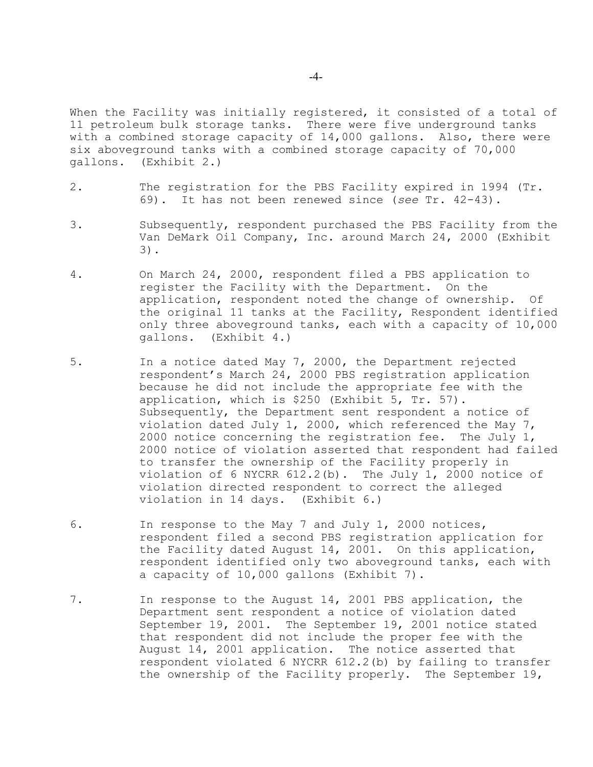When the Facility was initially registered, it consisted of a total of 11 petroleum bulk storage tanks. There were five underground tanks with a combined storage capacity of 14,000 gallons. Also, there were six aboveground tanks with a combined storage capacity of 70,000 gallons. (Exhibit 2.)

- 2. The registration for the PBS Facility expired in 1994 (Tr. 69). It has not been renewed since (*see* Tr. 42-43).
- 3. Subsequently, respondent purchased the PBS Facility from the Van DeMark Oil Company, Inc. around March 24, 2000 (Exhibit 3).
- 4. On March 24, 2000, respondent filed a PBS application to register the Facility with the Department. On the application, respondent noted the change of ownership. Of the original 11 tanks at the Facility, Respondent identified only three aboveground tanks, each with a capacity of 10,000 gallons. (Exhibit 4.)
- 5. In a notice dated May 7, 2000, the Department rejected respondent's March 24, 2000 PBS registration application because he did not include the appropriate fee with the application, which is \$250 (Exhibit 5, Tr. 57). Subsequently, the Department sent respondent a notice of violation dated July 1, 2000, which referenced the May 7, 2000 notice concerning the registration fee. The July 1, 2000 notice of violation asserted that respondent had failed to transfer the ownership of the Facility properly in violation of 6 NYCRR 612.2(b). The July 1, 2000 notice of violation directed respondent to correct the alleged violation in 14 days. (Exhibit 6.)
- 6. In response to the May 7 and July 1, 2000 notices, respondent filed a second PBS registration application for the Facility dated August 14, 2001. On this application, respondent identified only two aboveground tanks, each with a capacity of 10,000 gallons (Exhibit 7).
- 7. In response to the August 14, 2001 PBS application, the Department sent respondent a notice of violation dated September 19, 2001. The September 19, 2001 notice stated that respondent did not include the proper fee with the August 14, 2001 application. The notice asserted that respondent violated 6 NYCRR 612.2(b) by failing to transfer the ownership of the Facility properly. The September 19,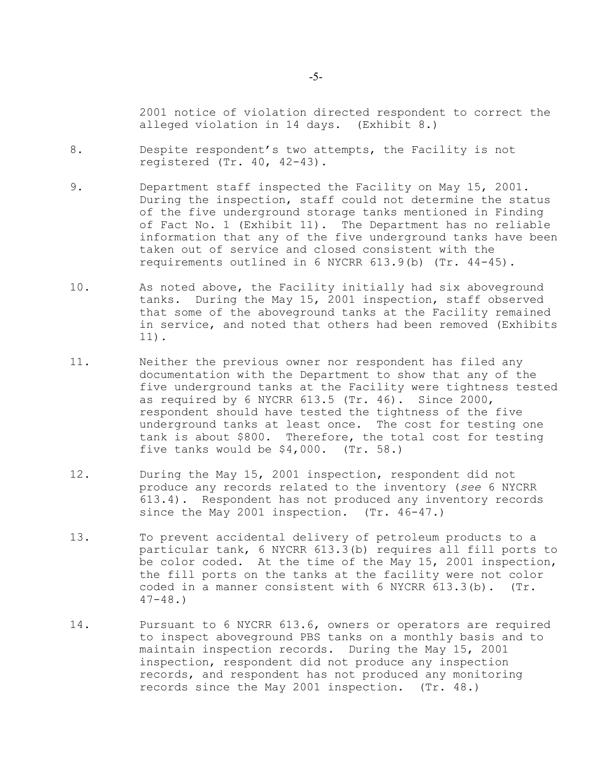2001 notice of violation directed respondent to correct the alleged violation in 14 days. (Exhibit 8.)

- 8. Despite respondent's two attempts, the Facility is not registered (Tr. 40, 42-43).
- 9. Department staff inspected the Facility on May 15, 2001. During the inspection, staff could not determine the status of the five underground storage tanks mentioned in Finding of Fact No. 1 (Exhibit 11). The Department has no reliable information that any of the five underground tanks have been taken out of service and closed consistent with the requirements outlined in 6 NYCRR 613.9(b) (Tr. 44-45).
- 10. As noted above, the Facility initially had six aboveground tanks. During the May 15, 2001 inspection, staff observed that some of the aboveground tanks at the Facility remained in service, and noted that others had been removed (Exhibits 11).
- 11. Neither the previous owner nor respondent has filed any documentation with the Department to show that any of the five underground tanks at the Facility were tightness tested as required by 6 NYCRR 613.5 (Tr. 46). Since 2000, respondent should have tested the tightness of the five underground tanks at least once. The cost for testing one tank is about \$800. Therefore, the total cost for testing five tanks would be \$4,000. (Tr. 58.)
- 12. During the May 15, 2001 inspection, respondent did not produce any records related to the inventory (*see* 6 NYCRR 613.4). Respondent has not produced any inventory records since the May 2001 inspection. (Tr. 46-47.)
- 13. To prevent accidental delivery of petroleum products to a particular tank, 6 NYCRR 613.3(b) requires all fill ports to be color coded. At the time of the May 15, 2001 inspection, the fill ports on the tanks at the facility were not color coded in a manner consistent with 6 NYCRR 613.3(b). (Tr.  $47-48.$
- 14. Pursuant to 6 NYCRR 613.6, owners or operators are required to inspect aboveground PBS tanks on a monthly basis and to maintain inspection records. During the May 15, 2001 inspection, respondent did not produce any inspection records, and respondent has not produced any monitoring records since the May 2001 inspection. (Tr. 48.)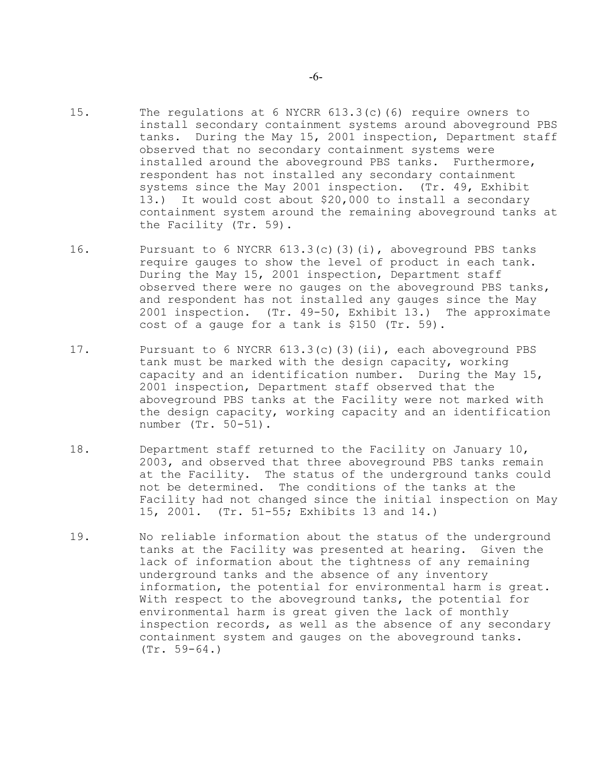- 15. The regulations at 6 NYCRR 613.3(c)(6) require owners to install secondary containment systems around aboveground PBS tanks. During the May 15, 2001 inspection, Department staff observed that no secondary containment systems were installed around the aboveground PBS tanks. Furthermore, respondent has not installed any secondary containment systems since the May 2001 inspection. (Tr. 49, Exhibit 13.) It would cost about \$20,000 to install a secondary containment system around the remaining aboveground tanks at the Facility (Tr. 59).
- 16. Pursuant to 6 NYCRR 613.3(c)(3)(i), aboveground PBS tanks require gauges to show the level of product in each tank. During the May 15, 2001 inspection, Department staff observed there were no gauges on the aboveground PBS tanks, and respondent has not installed any gauges since the May 2001 inspection. (Tr. 49-50, Exhibit 13.) The approximate cost of a gauge for a tank is \$150 (Tr. 59).
- 17. Pursuant to 6 NYCRR 613.3(c)(3)(ii), each aboveground PBS tank must be marked with the design capacity, working capacity and an identification number. During the May 15, 2001 inspection, Department staff observed that the aboveground PBS tanks at the Facility were not marked with the design capacity, working capacity and an identification number (Tr. 50-51).
- 18. Department staff returned to the Facility on January 10, 2003, and observed that three aboveground PBS tanks remain at the Facility. The status of the underground tanks could not be determined. The conditions of the tanks at the Facility had not changed since the initial inspection on May 15, 2001. (Tr. 51-55; Exhibits 13 and 14.)
- 19. No reliable information about the status of the underground tanks at the Facility was presented at hearing. Given the lack of information about the tightness of any remaining underground tanks and the absence of any inventory information, the potential for environmental harm is great. With respect to the aboveground tanks, the potential for environmental harm is great given the lack of monthly inspection records, as well as the absence of any secondary containment system and gauges on the aboveground tanks. (Tr. 59-64.)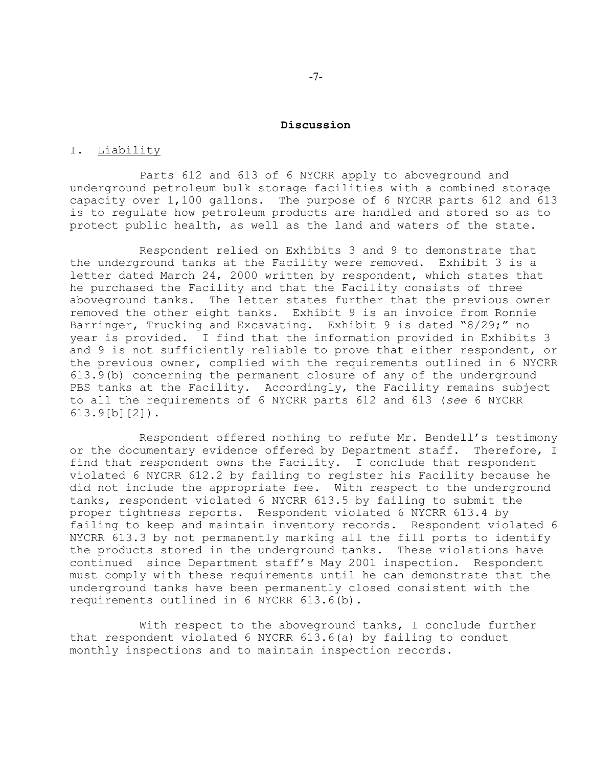#### **Discussion**

## I. Liability

Parts 612 and 613 of 6 NYCRR apply to aboveground and underground petroleum bulk storage facilities with a combined storage capacity over 1,100 gallons. The purpose of 6 NYCRR parts 612 and 613 is to regulate how petroleum products are handled and stored so as to protect public health, as well as the land and waters of the state.

Respondent relied on Exhibits 3 and 9 to demonstrate that the underground tanks at the Facility were removed. Exhibit 3 is a letter dated March 24, 2000 written by respondent, which states that he purchased the Facility and that the Facility consists of three aboveground tanks. The letter states further that the previous owner removed the other eight tanks. Exhibit 9 is an invoice from Ronnie Barringer, Trucking and Excavating. Exhibit 9 is dated "8/29;" no year is provided. I find that the information provided in Exhibits 3 and 9 is not sufficiently reliable to prove that either respondent, or the previous owner, complied with the requirements outlined in 6 NYCRR 613.9(b) concerning the permanent closure of any of the underground PBS tanks at the Facility. Accordingly, the Facility remains subject to all the requirements of 6 NYCRR parts 612 and 613 (*see* 6 NYCRR 613.9[b][2]).

Respondent offered nothing to refute Mr. Bendell's testimony or the documentary evidence offered by Department staff. Therefore, I find that respondent owns the Facility. I conclude that respondent violated 6 NYCRR 612.2 by failing to register his Facility because he did not include the appropriate fee. With respect to the underground tanks, respondent violated 6 NYCRR 613.5 by failing to submit the proper tightness reports. Respondent violated 6 NYCRR 613.4 by failing to keep and maintain inventory records. Respondent violated 6 NYCRR 613.3 by not permanently marking all the fill ports to identify the products stored in the underground tanks. These violations have continued since Department staff's May 2001 inspection. Respondent must comply with these requirements until he can demonstrate that the underground tanks have been permanently closed consistent with the requirements outlined in 6 NYCRR 613.6(b).

With respect to the aboveground tanks, I conclude further that respondent violated 6 NYCRR 613.6(a) by failing to conduct monthly inspections and to maintain inspection records.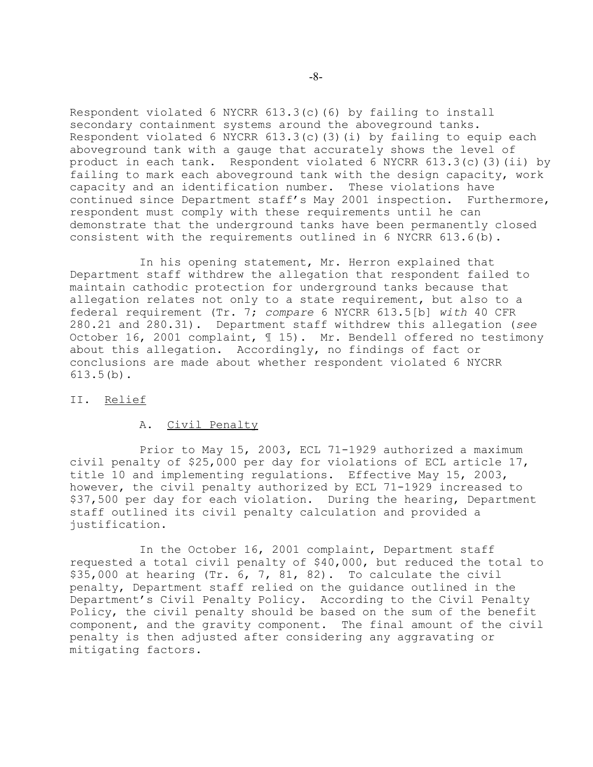Respondent violated 6 NYCRR 613.3(c)(6) by failing to install secondary containment systems around the aboveground tanks. Respondent violated 6 NYCRR 613.3(c)(3)(i) by failing to equip each aboveground tank with a gauge that accurately shows the level of product in each tank. Respondent violated 6 NYCRR 613.3(c)(3)(ii) by failing to mark each aboveground tank with the design capacity, work capacity and an identification number. These violations have continued since Department staff's May 2001 inspection. Furthermore, respondent must comply with these requirements until he can demonstrate that the underground tanks have been permanently closed consistent with the requirements outlined in 6 NYCRR 613.6(b).

In his opening statement, Mr. Herron explained that Department staff withdrew the allegation that respondent failed to maintain cathodic protection for underground tanks because that allegation relates not only to a state requirement, but also to a federal requirement (Tr. 7; *compare* 6 NYCRR 613.5[b] *with* 40 CFR 280.21 and 280.31). Department staff withdrew this allegation (*see* October 16, 2001 complaint, ¶ 15). Mr. Bendell offered no testimony about this allegation. Accordingly, no findings of fact or conclusions are made about whether respondent violated 6 NYCRR 613.5(b).

## II. Relief

## A. Civil Penalty

Prior to May 15, 2003, ECL 71-1929 authorized a maximum civil penalty of \$25,000 per day for violations of ECL article 17, title 10 and implementing regulations. Effective May 15, 2003, however, the civil penalty authorized by ECL 71-1929 increased to \$37,500 per day for each violation. During the hearing, Department staff outlined its civil penalty calculation and provided a justification.

In the October 16, 2001 complaint, Department staff requested a total civil penalty of \$40,000, but reduced the total to  $$35,000$  at hearing (Tr. 6, 7, 81, 82). To calculate the civil penalty, Department staff relied on the guidance outlined in the Department's Civil Penalty Policy. According to the Civil Penalty Policy, the civil penalty should be based on the sum of the benefit component, and the gravity component. The final amount of the civil penalty is then adjusted after considering any aggravating or mitigating factors.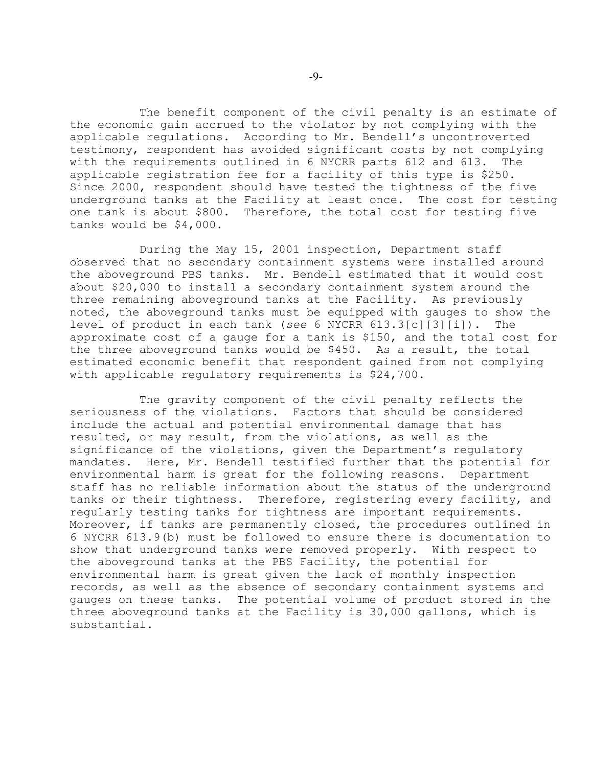The benefit component of the civil penalty is an estimate of the economic gain accrued to the violator by not complying with the applicable regulations. According to Mr. Bendell's uncontroverted testimony, respondent has avoided significant costs by not complying with the requirements outlined in 6 NYCRR parts 612 and 613. The applicable registration fee for a facility of this type is \$250. Since 2000, respondent should have tested the tightness of the five underground tanks at the Facility at least once. The cost for testing one tank is about \$800. Therefore, the total cost for testing five tanks would be \$4,000.

During the May 15, 2001 inspection, Department staff observed that no secondary containment systems were installed around the aboveground PBS tanks. Mr. Bendell estimated that it would cost about \$20,000 to install a secondary containment system around the three remaining aboveground tanks at the Facility. As previously noted, the aboveground tanks must be equipped with gauges to show the level of product in each tank (*see* 6 NYCRR 613.3[c][3][i]). The approximate cost of a gauge for a tank is \$150, and the total cost for the three aboveground tanks would be \$450. As a result, the total estimated economic benefit that respondent gained from not complying with applicable regulatory requirements is \$24,700.

The gravity component of the civil penalty reflects the seriousness of the violations. Factors that should be considered include the actual and potential environmental damage that has resulted, or may result, from the violations, as well as the significance of the violations, given the Department's regulatory mandates. Here, Mr. Bendell testified further that the potential for environmental harm is great for the following reasons. Department staff has no reliable information about the status of the underground tanks or their tightness. Therefore, registering every facility, and regularly testing tanks for tightness are important requirements. Moreover, if tanks are permanently closed, the procedures outlined in 6 NYCRR 613.9(b) must be followed to ensure there is documentation to show that underground tanks were removed properly. With respect to the aboveground tanks at the PBS Facility, the potential for environmental harm is great given the lack of monthly inspection records, as well as the absence of secondary containment systems and gauges on these tanks. The potential volume of product stored in the three aboveground tanks at the Facility is 30,000 gallons, which is substantial.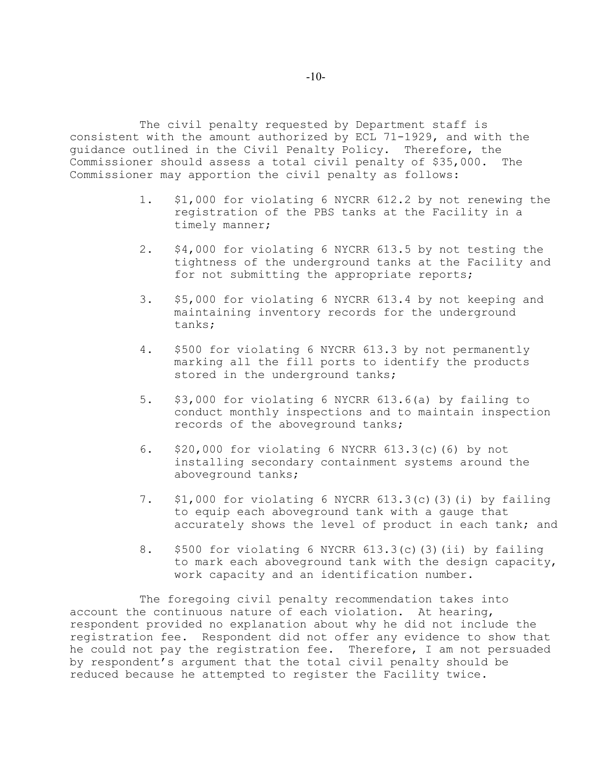The civil penalty requested by Department staff is consistent with the amount authorized by ECL 71-1929, and with the guidance outlined in the Civil Penalty Policy. Therefore, the Commissioner should assess a total civil penalty of \$35,000. The Commissioner may apportion the civil penalty as follows:

- 1. \$1,000 for violating 6 NYCRR 612.2 by not renewing the registration of the PBS tanks at the Facility in a timely manner;
- 2. \$4,000 for violating 6 NYCRR 613.5 by not testing the tightness of the underground tanks at the Facility and for not submitting the appropriate reports;
- 3. \$5,000 for violating 6 NYCRR 613.4 by not keeping and maintaining inventory records for the underground tanks;
- 4. \$500 for violating 6 NYCRR 613.3 by not permanently marking all the fill ports to identify the products stored in the underground tanks;
- 5. \$3,000 for violating 6 NYCRR 613.6(a) by failing to conduct monthly inspections and to maintain inspection records of the aboveground tanks;
- 6. \$20,000 for violating 6 NYCRR 613.3(c)(6) by not installing secondary containment systems around the aboveground tanks;
- 7. \$1,000 for violating 6 NYCRR 613.3(c)(3)(i) by failing to equip each aboveground tank with a gauge that accurately shows the level of product in each tank; and
- 8. \$500 for violating 6 NYCRR 613.3(c)(3)(ii) by failing to mark each aboveground tank with the design capacity, work capacity and an identification number.

The foregoing civil penalty recommendation takes into account the continuous nature of each violation. At hearing, respondent provided no explanation about why he did not include the registration fee. Respondent did not offer any evidence to show that he could not pay the registration fee. Therefore, I am not persuaded by respondent's argument that the total civil penalty should be reduced because he attempted to register the Facility twice.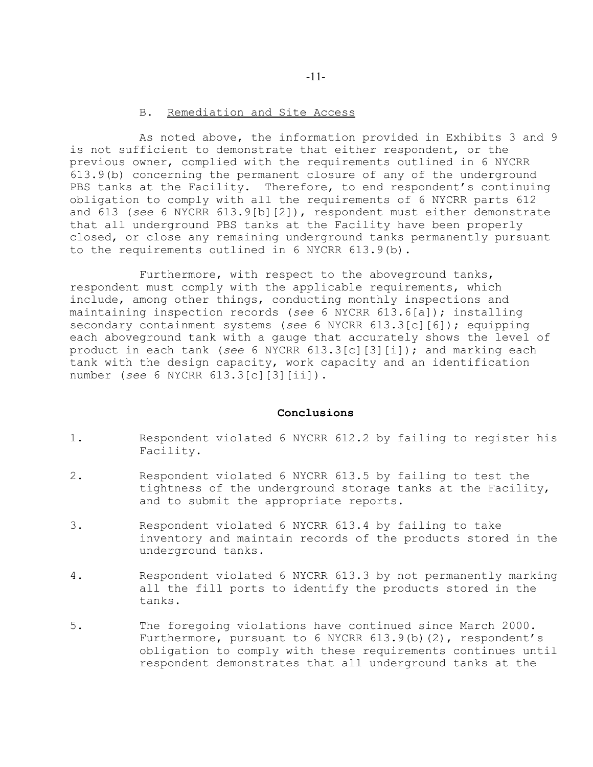## B. Remediation and Site Access

As noted above, the information provided in Exhibits 3 and 9 is not sufficient to demonstrate that either respondent, or the previous owner, complied with the requirements outlined in 6 NYCRR 613.9(b) concerning the permanent closure of any of the underground PBS tanks at the Facility. Therefore, to end respondent's continuing obligation to comply with all the requirements of 6 NYCRR parts 612 and 613 (*see* 6 NYCRR 613.9[b][2]), respondent must either demonstrate that all underground PBS tanks at the Facility have been properly closed, or close any remaining underground tanks permanently pursuant to the requirements outlined in 6 NYCRR 613.9(b).

Furthermore, with respect to the aboveground tanks, respondent must comply with the applicable requirements, which include, among other things, conducting monthly inspections and maintaining inspection records (*see* 6 NYCRR 613.6[a]); installing secondary containment systems (*see* 6 NYCRR 613.3[c][6]); equipping each aboveground tank with a gauge that accurately shows the level of product in each tank (*see* 6 NYCRR 613.3[c][3][i]); and marking each tank with the design capacity, work capacity and an identification number (*see* 6 NYCRR 613.3[c][3][ii]).

## **Conclusions**

- 1. Respondent violated 6 NYCRR 612.2 by failing to register his Facility.
- 2. Respondent violated 6 NYCRR 613.5 by failing to test the tightness of the underground storage tanks at the Facility, and to submit the appropriate reports.
- 3. Respondent violated 6 NYCRR 613.4 by failing to take inventory and maintain records of the products stored in the underground tanks.
- 4. Respondent violated 6 NYCRR 613.3 by not permanently marking all the fill ports to identify the products stored in the tanks.
- 5. The foregoing violations have continued since March 2000. Furthermore, pursuant to 6 NYCRR 613.9(b)(2), respondent's obligation to comply with these requirements continues until respondent demonstrates that all underground tanks at the